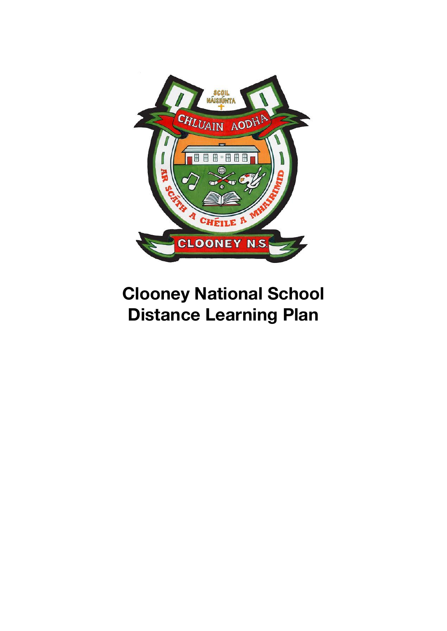

# **Clooney National School Distance Learning Plan**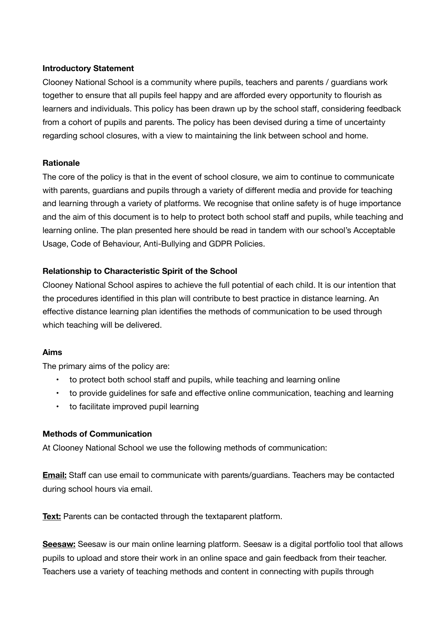## **Introductory Statement**

Clooney National School is a community where pupils, teachers and parents / guardians work together to ensure that all pupils feel happy and are afforded every opportunity to flourish as learners and individuals. This policy has been drawn up by the school staff, considering feedback from a cohort of pupils and parents. The policy has been devised during a time of uncertainty regarding school closures, with a view to maintaining the link between school and home.

## **Rationale**

The core of the policy is that in the event of school closure, we aim to continue to communicate with parents, guardians and pupils through a variety of different media and provide for teaching and learning through a variety of platforms. We recognise that online safety is of huge importance and the aim of this document is to help to protect both school staff and pupils, while teaching and learning online. The plan presented here should be read in tandem with our school's Acceptable Usage, Code of Behaviour, Anti-Bullying and GDPR Policies.

## **Relationship to Characteristic Spirit of the School**

Clooney National School aspires to achieve the full potential of each child. It is our intention that the procedures identified in this plan will contribute to best practice in distance learning. An effective distance learning plan identifies the methods of communication to be used through which teaching will be delivered.

#### **Aims**

The primary aims of the policy are:

- to protect both school staff and pupils, while teaching and learning online
- to provide guidelines for safe and effective online communication, teaching and learning
- to facilitate improved pupil learning

#### **Methods of Communication**

At Clooney National School we use the following methods of communication:

**Email:** Staff can use email to communicate with parents/guardians. Teachers may be contacted during school hours via email.

**Text:** Parents can be contacted through the textaparent platform.

**Seesaw:** Seesaw is our main online learning platform. Seesaw is a digital portfolio tool that allows pupils to upload and store their work in an online space and gain feedback from their teacher. Teachers use a variety of teaching methods and content in connecting with pupils through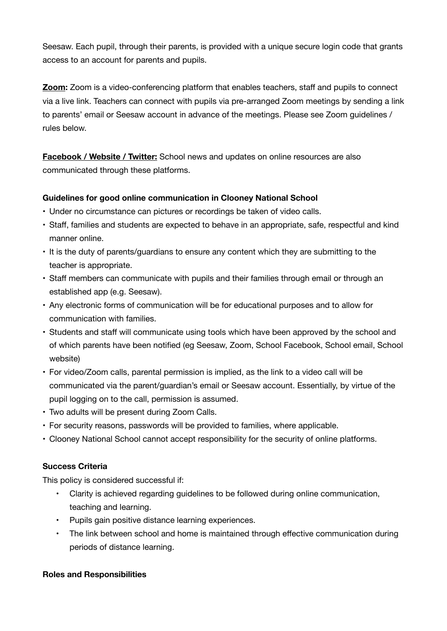Seesaw. Each pupil, through their parents, is provided with a unique secure login code that grants access to an account for parents and pupils.

**Zoom:** Zoom is a video-conferencing platform that enables teachers, staff and pupils to connect via a live link. Teachers can connect with pupils via pre-arranged Zoom meetings by sending a link to parents' email or Seesaw account in advance of the meetings. Please see Zoom guidelines / rules below.

**Facebook / Website / Twitter:** School news and updates on online resources are also communicated through these platforms.

# **Guidelines for good online communication in Clooney National School**

- Under no circumstance can pictures or recordings be taken of video calls.
- Staff, families and students are expected to behave in an appropriate, safe, respectful and kind manner online.
- It is the duty of parents/guardians to ensure any content which they are submitting to the teacher is appropriate.
- Staff members can communicate with pupils and their families through email or through an established app (e.g. Seesaw).
- Any electronic forms of communication will be for educational purposes and to allow for communication with families.
- Students and staff will communicate using tools which have been approved by the school and of which parents have been notified (eg Seesaw, Zoom, School Facebook, School email, School website)
- For video/Zoom calls, parental permission is implied, as the link to a video call will be communicated via the parent/guardian's email or Seesaw account. Essentially, by virtue of the pupil logging on to the call, permission is assumed.
- Two adults will be present during Zoom Calls.
- For security reasons, passwords will be provided to families, where applicable.
- Clooney National School cannot accept responsibility for the security of online platforms.

# **Success Criteria**

This policy is considered successful if:

- Clarity is achieved regarding guidelines to be followed during online communication, teaching and learning.
- Pupils gain positive distance learning experiences.
- The link between school and home is maintained through effective communication during periods of distance learning.

#### **Roles and Responsibilities**